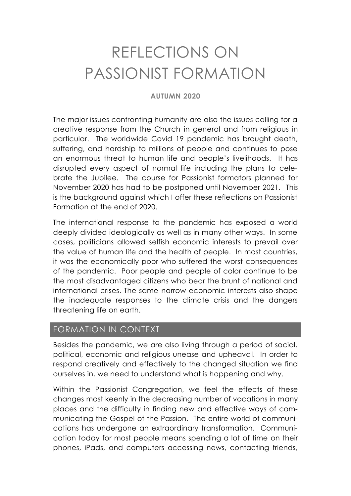# REFLECTIONS ON PASSIONIST FORMATION

#### **AUTUMN 2020**

The major issues confronting humanity are also the issues calling for a creative response from the Church in general and from religious in particular. The worldwide Covid 19 pandemic has brought death, suffering, and hardship to millions of people and continues to pose an enormous threat to human life and people's livelihoods. It has disrupted every aspect of normal life including the plans to celebrate the Jubilee. The course for Passionist formators planned for November 2020 has had to be postponed until November 2021. This is the background against which I offer these reflections on Passionist Formation at the end of 2020.

The international response to the pandemic has exposed a world deeply divided ideologically as well as in many other ways. In some cases, politicians allowed selfish economic interests to prevail over the value of human life and the health of people. In most countries, it was the economically poor who suffered the worst consequences of the pandemic. Poor people and people of color continue to be the most disadvantaged citizens who bear the brunt of national and international crises. The same narrow economic interests also shape the inadequate responses to the climate crisis and the dangers threatening life on earth.

## FORMATION IN CONTEXT

Besides the pandemic, we are also living through a period of social, political, economic and religious unease and upheaval. In order to respond creatively and effectively to the changed situation we find ourselves in, we need to understand what is happening and why.

Within the Passionist Congregation, we feel the effects of these changes most keenly in the decreasing number of vocations in many places and the difficulty in finding new and effective ways of communicating the Gospel of the Passion. The entire world of communications has undergone an extraordinary transformation. Communication today for most people means spending a lot of time on their phones, iPads, and computers accessing news, contacting friends,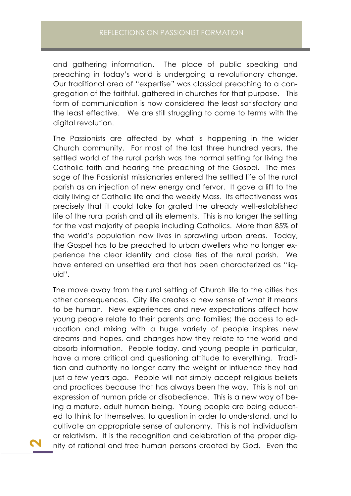and gathering information. The place of public speaking and preaching in today's world is undergoing a revolutionary change. Our traditional area of "expertise" was classical preaching to a congregation of the faithful, gathered in churches for that purpose. This form of communication is now considered the least satisfactory and the least effective. We are still struggling to come to terms with the digital revolution.

The Passionists are affected by what is happening in the wider Church community. For most of the last three hundred years, the settled world of the rural parish was the normal setting for living the Catholic faith and hearing the preaching of the Gospel. The message of the Passionist missionaries entered the settled life of the rural parish as an injection of new energy and fervor. It gave a lift to the daily living of Catholic life and the weekly Mass. Its effectiveness was precisely that it could take for grated the already well-established life of the rural parish and all its elements. This is no longer the setting for the vast majority of people including Catholics. More than 85% of the world's population now lives in sprawling urban areas. Today, the Gospel has to be preached to urban dwellers who no longer experience the clear identity and close ties of the rural parish. We have entered an unsettled era that has been characterized as "liquid".

The move away from the rural setting of Church life to the cities has other consequences. City life creates a new sense of what it means to be human. New experiences and new expectations affect how young people relate to their parents and families; the access to education and mixing with a huge variety of people inspires new dreams and hopes, and changes how they relate to the world and absorb information. People today, and young people in particular, have a more critical and questioning attitude to everything. Tradition and authority no longer carry the weight or influence they had just a few years ago. People will not simply accept religious beliefs and practices because that has always been the way. This is not an expression of human pride or disobedience. This is a new way of being a mature, adult human being. Young people are being educated to think for themselves, to question in order to understand, and to cultivate an appropriate sense of autonomy. This is not individualism or relativism. It is the recognition and celebration of the proper dignity of rational and free human persons created by God. Even the

**2**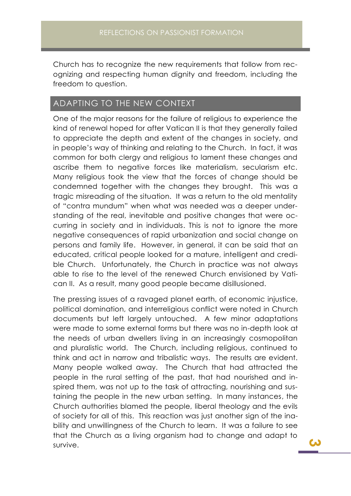Church has to recognize the new requirements that follow from recognizing and respecting human dignity and freedom, including the freedom to question.

## ADAPTING TO THE NEW CONTEXT

One of the major reasons for the failure of religious to experience the kind of renewal hoped for after Vatican II is that they generally failed to appreciate the depth and extent of the changes in society, and in people's way of thinking and relating to the Church. In fact, it was common for both clergy and religious to lament these changes and ascribe them to negative forces like materialism, secularism etc. Many religious took the view that the forces of change should be condemned together with the changes they brought. This was a tragic misreading of the situation. It was a return to the old mentality of "contra mundum" when what was needed was a deeper understanding of the real, inevitable and positive changes that were occurring in society and in individuals. This is not to ignore the more negative consequences of rapid urbanization and social change on persons and family life. However, in general, it can be said that an educated, critical people looked for a mature, intelligent and credible Church. Unfortunately, the Church in practice was not always able to rise to the level of the renewed Church envisioned by Vatican II. As a result, many good people became disillusioned.

The pressing issues of a ravaged planet earth, of economic injustice, political domination, and interreligious conflict were noted in Church documents but left largely untouched. A few minor adaptations were made to some external forms but there was no in-depth look at the needs of urban dwellers living in an increasingly cosmopolitan and pluralistic world. The Church, including religious, continued to think and act in narrow and tribalistic ways. The results are evident. Many people walked away. The Church that had attracted the people in the rural setting of the past, that had nourished and inspired them, was not up to the task of attracting, nourishing and sustaining the people in the new urban setting. In many instances, the Church authorities blamed the people, liberal theology and the evils of society for all of this. This reaction was just another sign of the inability and unwillingness of the Church to learn. It was a failure to see that the Church as a living organism had to change and adapt to survive.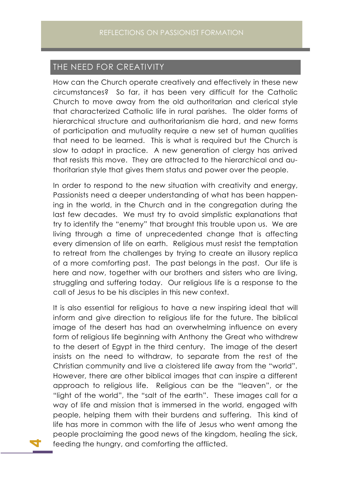### THE NEED FOR CREATIVITY

How can the Church operate creatively and effectively in these new circumstances? So far, it has been very difficult for the Catholic Church to move away from the old authoritarian and clerical style that characterized Catholic life in rural parishes. The older forms of hierarchical structure and authoritarianism die hard, and new forms of participation and mutuality require a new set of human qualities that need to be learned. This is what is required but the Church is slow to adapt in practice. A new generation of clergy has arrived that resists this move. They are attracted to the hierarchical and authoritarian style that gives them status and power over the people.

In order to respond to the new situation with creativity and energy, Passionists need a deeper understanding of what has been happening in the world, in the Church and in the congregation during the last few decades. We must try to avoid simplistic explanations that try to identify the "enemy" that brought this trouble upon us. We are living through a time of unprecedented change that is affecting every dimension of life on earth. Religious must resist the temptation to retreat from the challenges by trying to create an illusory replica of a more comforting past. The past belongs in the past. Our life is here and now, together with our brothers and sisters who are living, struggling and suffering today. Our religious life is a response to the call of Jesus to be his disciples in this new context.

It is also essential for religious to have a new inspiring ideal that will inform and give direction to religious life for the future. The biblical image of the desert has had an overwhelming influence on every form of religious life beginning with Anthony the Great who withdrew to the desert of Egypt in the third century. The image of the desert insists on the need to withdraw, to separate from the rest of the Christian community and live a cloistered life away from the "world". However, there are other biblical images that can inspire a different approach to religious life. Religious can be the "leaven", or the "light of the world", the "salt of the earth". These images call for a way of life and mission that is immersed in the world, engaged with people, helping them with their burdens and suffering. This kind of life has more in common with the life of Jesus who went among the people proclaiming the good news of the kingdom, healing the sick, feeding the hungry, and comforting the afflicted.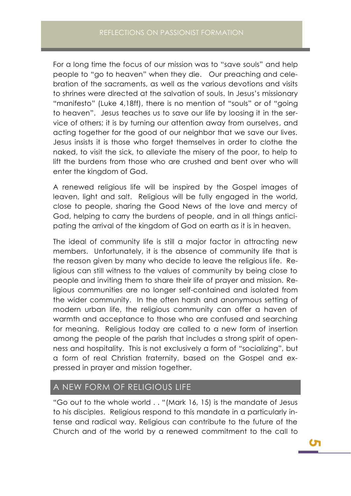For a long time the focus of our mission was to "save souls" and help people to "go to heaven" when they die. Our preaching and celebration of the sacraments, as well as the various devotions and visits to shrines were directed at the salvation of souls. In Jesus's missionary "manifesto" (Luke 4,18ff), there is no mention of "souls" or of "going to heaven". Jesus teaches us to save our life by loosing it in the service of others; it is by turning our attention away from ourselves, and acting together for the good of our neighbor that we save our lives. Jesus insists it is those who forget themselves in order to clothe the naked, to visit the sick, to alleviate the misery of the poor, to help to lift the burdens from those who are crushed and bent over who will enter the kingdom of God.

A renewed religious life will be inspired by the Gospel images of leaven, light and salt. Religious will be fully engaged in the world, close to people, sharing the Good News of the love and mercy of God, helping to carry the burdens of people, and in all things anticipating the arrival of the kingdom of God on earth as it is in heaven.

The ideal of community life is still a major factor in attracting new members. Unfortunately, it is the absence of community life that is the reason given by many who decide to leave the religious life. Religious can still witness to the values of community by being close to people and inviting them to share their life of prayer and mission. Religious communities are no longer self-contained and isolated from the wider community. In the often harsh and anonymous setting of modern urban life, the religious community can offer a haven of warmth and acceptance to those who are confused and searching for meaning. Religious today are called to a new form of insertion among the people of the parish that includes a strong spirit of openness and hospitality. This is not exclusively a form of "socializing", but a form of real Christian fraternity, based on the Gospel and expressed in prayer and mission together.

## A NEW FORM OF RELIGIOUS LIFE

"Go out to the whole world . . "(Mark 16, 15) is the mandate of Jesus to his disciples. Religious respond to this mandate in a particularly intense and radical way. Religious can contribute to the future of the Church and of the world by a renewed commitment to the call to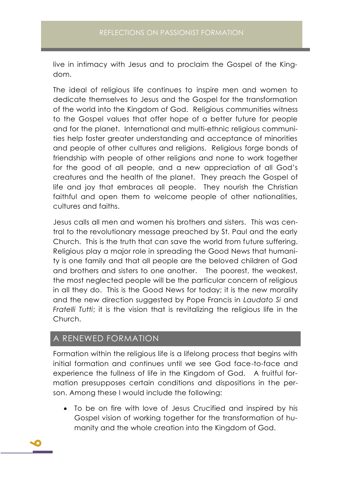live in intimacy with Jesus and to proclaim the Gospel of the Kingdom.

The ideal of religious life continues to inspire men and women to dedicate themselves to Jesus and the Gospel for the transformation of the world into the Kingdom of God. Religious communities witness to the Gospel values that offer hope of a better future for people and for the planet. International and multi-ethnic religious communities help foster greater understanding and acceptance of minorities and people of other cultures and religions. Religious forge bonds of friendship with people of other religions and none to work together for the good of all people, and a new appreciation of all God's creatures and the health of the planet. They preach the Gospel of life and joy that embraces all people. They nourish the Christian faithful and open them to welcome people of other nationalities, cultures and faiths.

Jesus calls all men and women his brothers and sisters. This was central to the revolutionary message preached by St. Paul and the early Church. This is the truth that can save the world from future suffering. Religious play a major role in spreading the Good News that humanity is one family and that all people are the beloved children of God and brothers and sisters to one another. The poorest, the weakest, the most neglected people will be the particular concern of religious in all they do. This is the Good News for today; it is the new morality and the new direction suggested by Pope Francis in *Laudato Si* and *Fratelli Tutti*; it is the vision that is revitalizing the religious life in the Church.

### A RENEWED FORMATION

Formation within the religious life is a lifelong process that begins with initial formation and continues until we see God face-to-face and experience the fullness of life in the Kingdom of God. A fruitful formation presupposes certain conditions and dispositions in the person. Among these I would include the following:

• To be on fire with love of Jesus Crucified and inspired by his Gospel vision of working together for the transformation of humanity and the whole creation into the Kingdom of God.